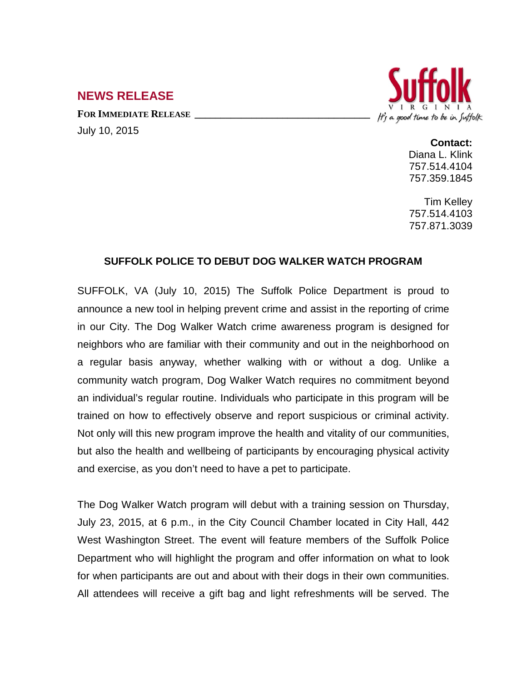## **NEWS RELEASE**

FOR **IMMEDIATE RELEASE** July 10, 2015



## **Contact:**

Diana L. Klink 757.514.4104 757.359.1845

Tim Kelley 757.514.4103 757.871.3039

## **SUFFOLK POLICE TO DEBUT DOG WALKER WATCH PROGRAM**

SUFFOLK, VA (July 10, 2015) The Suffolk Police Department is proud to announce a new tool in helping prevent crime and assist in the reporting of crime in our City. The Dog Walker Watch crime awareness program is designed for neighbors who are familiar with their community and out in the neighborhood on a regular basis anyway, whether walking with or without a dog. Unlike a community watch program, Dog Walker Watch requires no commitment beyond an individual's regular routine. Individuals who participate in this program will be trained on how to effectively observe and report suspicious or criminal activity. Not only will this new program improve the health and vitality of our communities, but also the health and wellbeing of participants by encouraging physical activity and exercise, as you don't need to have a pet to participate.

The Dog Walker Watch program will debut with a training session on Thursday, July 23, 2015, at 6 p.m., in the City Council Chamber located in City Hall, 442 West Washington Street. The event will feature members of the Suffolk Police Department who will highlight the program and offer information on what to look for when participants are out and about with their dogs in their own communities. All attendees will receive a gift bag and light refreshments will be served. The